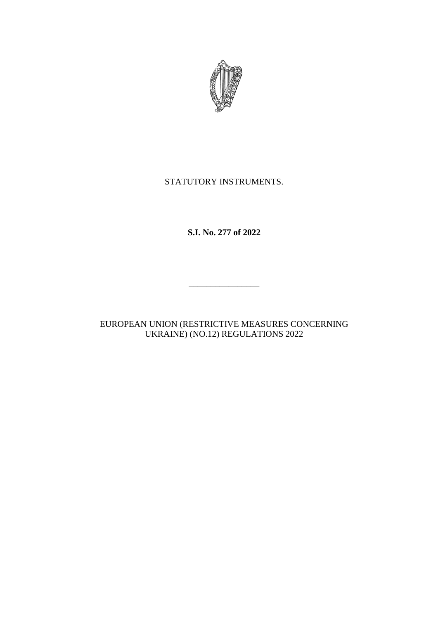

# STATUTORY INSTRUMENTS.

# **S.I. No. 277 of 2022**

EUROPEAN UNION (RESTRICTIVE MEASURES CONCERNING UKRAINE) (NO.12) REGULATIONS 2022

 $\overline{\phantom{a}}$  , where the contract of the contract of the contract of the contract of the contract of the contract of the contract of the contract of the contract of the contract of the contract of the contract of the contr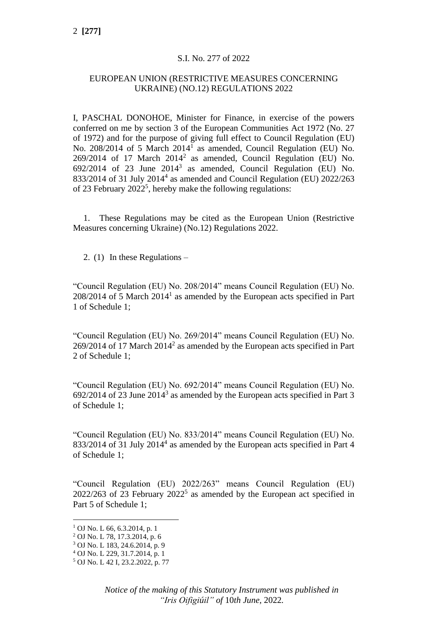### S.I. No. 277 of 2022

### EUROPEAN UNION (RESTRICTIVE MEASURES CONCERNING UKRAINE) (NO.12) REGULATIONS 2022

I, PASCHAL DONOHOE, Minister for Finance, in exercise of the powers conferred on me by section 3 of the European Communities Act 1972 (No. 27 of 1972) and for the purpose of giving full effect to Council Regulation (EU) No. 208/2014 of 5 March 2014<sup>1</sup> as amended, Council Regulation (EU) No.  $269/2014$  of 17 March  $2014^2$  as amended, Council Regulation (EU) No.  $692/2014$  of 23 June  $2014<sup>3</sup>$  as amended, Council Regulation (EU) No. 833/2014 of 31 July 2014<sup>4</sup> as amended and Council Regulation (EU) 2022/263 of 23 February  $2022^5$ , hereby make the following regulations:

1. These Regulations may be cited as the European Union (Restrictive Measures concerning Ukraine) (No.12) Regulations 2022.

2. (1) In these Regulations –

"Council Regulation (EU) No. 208/2014" means Council Regulation (EU) No.  $208/2014$  of 5 March  $2014<sup>1</sup>$  as amended by the European acts specified in Part 1 of Schedule 1;

"Council Regulation (EU) No. 269/2014" means Council Regulation (EU) No.  $269/2014$  of 17 March  $2014<sup>2</sup>$  as amended by the European acts specified in Part 2 of Schedule 1;

"Council Regulation (EU) No. 692/2014" means Council Regulation (EU) No.  $692/2014$  of 23 June  $2014<sup>3</sup>$  as amended by the European acts specified in Part 3 of Schedule 1;

"Council Regulation (EU) No. 833/2014" means Council Regulation (EU) No. 833/2014 of 31 July 2014<sup>4</sup> as amended by the European acts specified in Part 4 of Schedule 1;

"Council Regulation (EU) 2022/263" means Council Regulation (EU)  $2022/263$  of 23 February  $2022<sup>5</sup>$  as amended by the European act specified in Part 5 of Schedule 1;

 $1$  OJ No. L 66, 6, 3, 2014, p. 1

<sup>2</sup> OJ No. L 78, 17.3.2014, p. 6

<sup>3</sup> OJ No. L 183, 24.6.2014, p. 9

<sup>4</sup> OJ No. L 229, 31.7.2014, p. 1

<sup>5</sup> OJ No. L 42 I, 23.2.2022, p. 77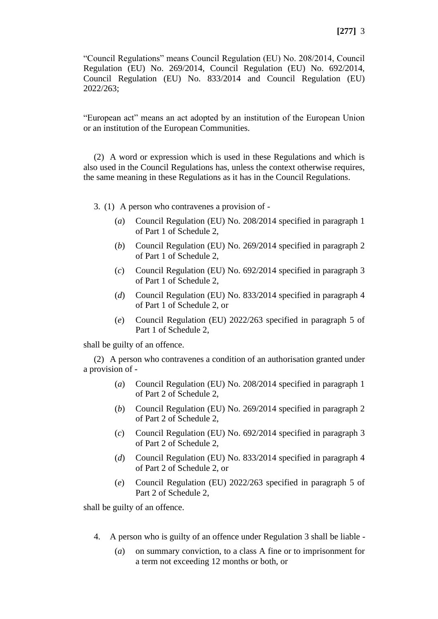"Council Regulations" means Council Regulation (EU) No. 208/2014, Council Regulation (EU) No. 269/2014, Council Regulation (EU) No. 692/2014, Council Regulation (EU) No. 833/2014 and Council Regulation (EU) 2022/263;

"European act" means an act adopted by an institution of the European Union or an institution of the European Communities.

(2) A word or expression which is used in these Regulations and which is also used in the Council Regulations has, unless the context otherwise requires, the same meaning in these Regulations as it has in the Council Regulations.

3. (1) A person who contravenes a provision of -

- (*a*) Council Regulation (EU) No. 208/2014 specified in paragraph 1 of Part 1 of Schedule 2,
- (*b*) Council Regulation (EU) No. 269/2014 specified in paragraph 2 of Part 1 of Schedule 2,
- (*c*) Council Regulation (EU) No. 692/2014 specified in paragraph 3 of Part 1 of Schedule 2,
- (*d*) Council Regulation (EU) No. 833/2014 specified in paragraph 4 of Part 1 of Schedule 2, or
- (*e*) Council Regulation (EU) 2022/263 specified in paragraph 5 of Part 1 of Schedule 2,

shall be guilty of an offence.

(2) A person who contravenes a condition of an authorisation granted under a provision of -

- (*a*) Council Regulation (EU) No. 208/2014 specified in paragraph 1 of Part 2 of Schedule 2,
- (*b*) Council Regulation (EU) No. 269/2014 specified in paragraph 2 of Part 2 of Schedule 2,
- (*c*) Council Regulation (EU) No. 692/2014 specified in paragraph 3 of Part 2 of Schedule 2,
- (*d*) Council Regulation (EU) No. 833/2014 specified in paragraph 4 of Part 2 of Schedule 2, or
- (*e*) Council Regulation (EU) 2022/263 specified in paragraph 5 of Part 2 of Schedule 2,

shall be guilty of an offence.

- 4. A person who is guilty of an offence under Regulation 3 shall be liable
	- (*a*) on summary conviction, to a class A fine or to imprisonment for a term not exceeding 12 months or both, or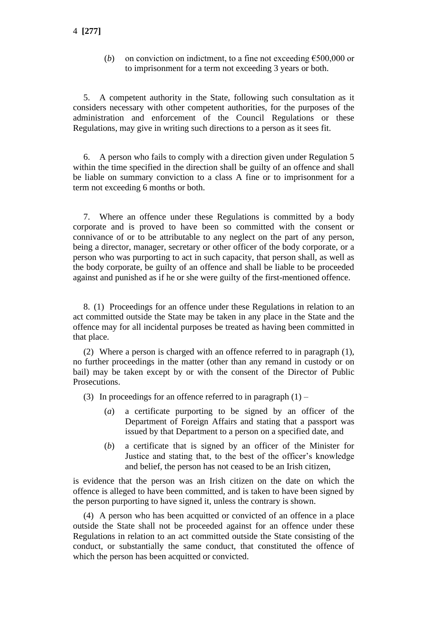(*b*) on conviction on indictment, to a fine not exceeding  $\epsilon$ 500,000 or to imprisonment for a term not exceeding 3 years or both.

5. A competent authority in the State, following such consultation as it considers necessary with other competent authorities, for the purposes of the administration and enforcement of the Council Regulations or these Regulations, may give in writing such directions to a person as it sees fit.

6. A person who fails to comply with a direction given under Regulation 5 within the time specified in the direction shall be guilty of an offence and shall be liable on summary conviction to a class A fine or to imprisonment for a term not exceeding 6 months or both.

7. Where an offence under these Regulations is committed by a body corporate and is proved to have been so committed with the consent or connivance of or to be attributable to any neglect on the part of any person, being a director, manager, secretary or other officer of the body corporate, or a person who was purporting to act in such capacity, that person shall, as well as the body corporate, be guilty of an offence and shall be liable to be proceeded against and punished as if he or she were guilty of the first-mentioned offence.

8. (1) Proceedings for an offence under these Regulations in relation to an act committed outside the State may be taken in any place in the State and the offence may for all incidental purposes be treated as having been committed in that place.

(2) Where a person is charged with an offence referred to in paragraph (1), no further proceedings in the matter (other than any remand in custody or on bail) may be taken except by or with the consent of the Director of Public Prosecutions.

(3) In proceedings for an offence referred to in paragraph  $(1)$  –

- (*a*) a certificate purporting to be signed by an officer of the Department of Foreign Affairs and stating that a passport was issued by that Department to a person on a specified date, and
- (*b*) a certificate that is signed by an officer of the Minister for Justice and stating that, to the best of the officer's knowledge and belief, the person has not ceased to be an Irish citizen,

is evidence that the person was an Irish citizen on the date on which the offence is alleged to have been committed, and is taken to have been signed by the person purporting to have signed it, unless the contrary is shown.

(4) A person who has been acquitted or convicted of an offence in a place outside the State shall not be proceeded against for an offence under these Regulations in relation to an act committed outside the State consisting of the conduct, or substantially the same conduct, that constituted the offence of which the person has been acquitted or convicted.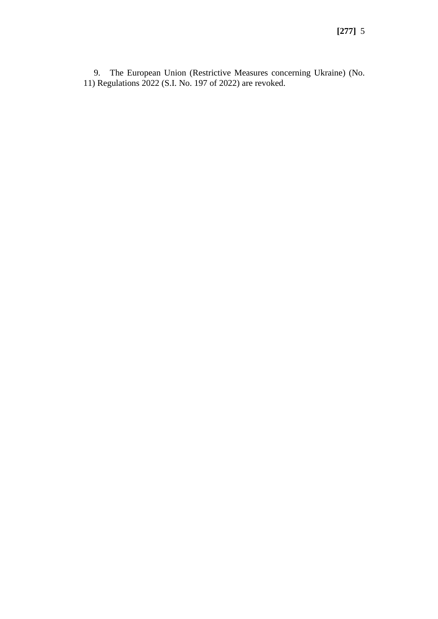9. The European Union (Restrictive Measures concerning Ukraine) (No. 11) Regulations 2022 (S.I. No. 197 of 2022) are revoked.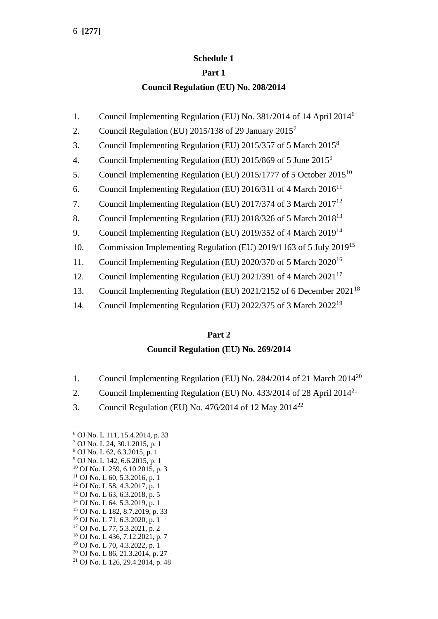### **Schedule 1**

### **Part 1**

### **Council Regulation (EU) No. 208/2014**

- 1. Council Implementing Regulation (EU) No. 381/2014 of 14 April 2014<sup>6</sup>
- 2. Council Regulation (EU)  $2015/138$  of 29 January  $2015<sup>7</sup>$
- 3. Council Implementing Regulation (EU) 2015/357 of 5 March 2015<sup>8</sup>
- 4. Council Implementing Regulation (EU) 2015/869 of 5 June 2015<sup>9</sup>
- 5. Council Implementing Regulation (EU) 2015/1777 of 5 October 2015<sup>10</sup>
- 6. Council Implementing Regulation (EU) 2016/311 of 4 March  $2016^{11}$
- 7. Council Implementing Regulation (EU) 2017/374 of 3 March  $2017^{12}$
- 8. Council Implementing Regulation (EU) 2018/326 of 5 March 2018<sup>13</sup>
- 9. Council Implementing Regulation (EU) 2019/352 of 4 March 2019<sup>14</sup>
- 10. Commission Implementing Regulation (EU) 2019/1163 of 5 July 2019<sup>15</sup>
- 11. Council Implementing Regulation (EU) 2020/370 of 5 March 2020<sup>16</sup>
- 12. Council Implementing Regulation (EU) 2021/391 of 4 March 2021<sup>17</sup>
- 13. Council Implementing Regulation (EU) 2021/2152 of 6 December 2021<sup>18</sup>
- 14. Council Implementing Regulation (EU) 2022/375 of 3 March 2022<sup>19</sup>

## **Part 2**

# **Council Regulation (EU) No. 269/2014**

- 1. Council Implementing Regulation (EU) No. 284/2014 of 21 March 2014<sup>20</sup>
- 2. Council Implementing Regulation (EU) No. 433/2014 of 28 April 2014<sup>21</sup>
- 3. Council Regulation (EU) No.  $476/2014$  of 12 May  $2014^{22}$

- <sup>19</sup> OJ No. L 70, 4.3.2022, p. 1
- <sup>20</sup> OJ No. L 86, 21.3.2014, p. 27
- <sup>21</sup> OJ No. L 126, 29.4.2014, p. 48

<sup>6</sup> OJ No. L 111, 15.4.2014, p. 33

<sup>7</sup> OJ No. L 24, 30.1.2015, p. 1

<sup>8</sup> OJ No. L 62, 6.3.2015, p. 1 <sup>9</sup> OJ No. L 142, 6.6.2015, p. 1

<sup>10</sup> OJ No. L 259, 6.10.2015, p. 3

 $11$  OJ No. L 60, 5.3.2016, p. 1

<sup>12</sup> OJ No. L 58, 4.3.2017, p. 1

<sup>13</sup> OJ No. L 63, 6.3.2018, p. 5

<sup>14</sup> OJ No. L 64, 5.3.2019, p. 1

<sup>15</sup> OJ No. L 182, 8.7.2019, p. 33

<sup>16</sup> OJ No. L 71, 6.3.2020, p. 1

<sup>17</sup> OJ No. L 77, 5.3.2021, p. 2

<sup>18</sup> OJ No. L 436, 7.12.2021, p. 7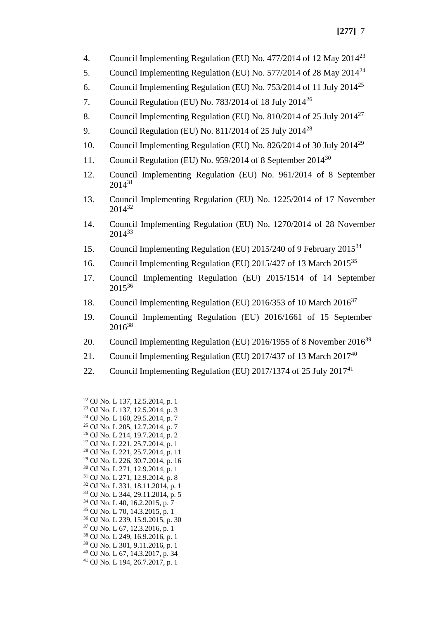- 4. Council Implementing Regulation (EU) No. 477/2014 of 12 May  $2014^{23}$
- 5. Council Implementing Regulation (EU) No. 577/2014 of 28 May 2014<sup>24</sup>
- 6. Council Implementing Regulation (EU) No.  $753/2014$  of 11 July  $2014^{25}$
- 7. Council Regulation (EU) No. 783/2014 of 18 July  $2014^{26}$
- 8. Council Implementing Regulation (EU) No. 810/2014 of 25 July 2014<sup>27</sup>
- 9. Council Regulation (EU) No. 811/2014 of 25 July 2014<sup>28</sup>
- 10. Council Implementing Regulation (EU) No. 826/2014 of 30 July 2014<sup>29</sup>
- 11. Council Regulation (EU) No. 959/2014 of 8 September 2014<sup>30</sup>
- 12. Council Implementing Regulation (EU) No. 961/2014 of 8 September  $2014^{31}$
- 13. Council Implementing Regulation (EU) No. 1225/2014 of 17 November 2014<sup>32</sup>
- 14. Council Implementing Regulation (EU) No. 1270/2014 of 28 November 2014<sup>33</sup>
- 15. Council Implementing Regulation (EU) 2015/240 of 9 February 2015<sup>34</sup>
- 16. Council Implementing Regulation (EU) 2015/427 of 13 March 2015<sup>35</sup>
- 17. Council Implementing Regulation (EU) 2015/1514 of 14 September 2015<sup>36</sup>
- 18. Council Implementing Regulation (EU) 2016/353 of 10 March 2016<sup>37</sup>
- 19. Council Implementing Regulation (EU) 2016/1661 of 15 September  $2016^{38}$
- 20. Council Implementing Regulation (EU) 2016/1955 of 8 November 2016<sup>39</sup>
- 21. Council Implementing Regulation (EU) 2017/437 of 13 March  $2017^{40}$
- 22. Council Implementing Regulation (EU) 2017/1374 of 25 July 2017<sup>41</sup>

<sup>22</sup> OJ No. L 137, 12.5.2014, p. 1 <sup>23</sup> OJ No. L 137, 12.5.2014, p. 3 <sup>24</sup> OJ No. L 160, 29.5.2014, p. 7 <sup>25</sup> OJ No. L 205, 12.7.2014, p. 7 <sup>26</sup> OJ No. L 214, 19.7.2014, p. 2 <sup>27</sup> OJ No. L 221, 25.7.2014, p. 1 <sup>28</sup> OJ No. L 221, 25.7.2014, p. 11 <sup>29</sup> OJ No. L 226, 30.7.2014, p. 16 <sup>30</sup> OJ No. L 271, 12.9.2014, p. 1 <sup>31</sup> OJ No. L 271, 12.9.2014, p. 8 <sup>32</sup> OJ No. L 331, 18.11.2014, p. 1 <sup>33</sup> OJ No. L 344, 29.11.2014, p. 5 <sup>34</sup> OJ No. L 40, 16.2.2015, p. 7 <sup>35</sup> OJ No. L 70, 14.3.2015, p. 1 <sup>36</sup> OJ No. L 239, 15.9.2015, p. 30 <sup>37</sup> OJ No. L 67, 12.3.2016, p. 1 <sup>38</sup> OJ No. L 249, 16.9.2016, p. 1 <sup>39</sup> OJ No. L 301, 9.11.2016, p. 1 <sup>40</sup> OJ No. L 67, 14.3.2017, p. 34 <sup>41</sup> OJ No. L 194, 26.7.2017, p. 1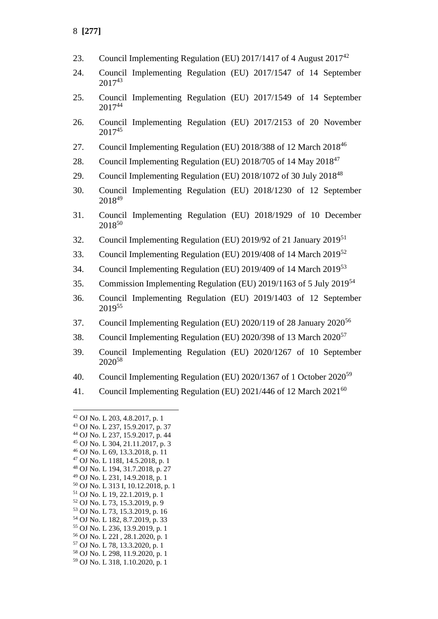- 23. Council Implementing Regulation (EU) 2017/1417 of 4 August  $2017^{42}$
- 24. Council Implementing Regulation (EU) 2017/1547 of 14 September  $2017^{43}$
- 25. Council Implementing Regulation (EU) 2017/1549 of 14 September 2017<sup>44</sup>
- 26. Council Implementing Regulation (EU) 2017/2153 of 20 November 2017<sup>45</sup>
- 27. Council Implementing Regulation (EU) 2018/388 of 12 March 2018<sup>46</sup>
- 28. Council Implementing Regulation (EU) 2018/705 of 14 May 2018<sup>47</sup>
- 29. Council Implementing Regulation (EU) 2018/1072 of 30 July 2018<sup>48</sup>
- 30. Council Implementing Regulation (EU) 2018/1230 of 12 September 2018<sup>49</sup>
- 31. Council Implementing Regulation (EU) 2018/1929 of 10 December 2018<sup>50</sup>
- 32. Council Implementing Regulation (EU) 2019/92 of 21 January 2019<sup>51</sup>
- 33. Council Implementing Regulation (EU) 2019/408 of 14 March 2019<sup>52</sup>
- 34. Council Implementing Regulation (EU) 2019/409 of 14 March 2019<sup>53</sup>
- 35. Commission Implementing Regulation (EU) 2019/1163 of 5 July 2019<sup>54</sup>
- 36. Council Implementing Regulation (EU) 2019/1403 of 12 September 2019<sup>55</sup>
- 37. Council Implementing Regulation (EU) 2020/119 of 28 January 2020<sup>56</sup>
- 38. Council Implementing Regulation (EU) 2020/398 of 13 March 2020<sup>57</sup>
- 39. Council Implementing Regulation (EU) 2020/1267 of 10 September 2020<sup>58</sup>
- 40. Council Implementing Regulation (EU) 2020/1367 of 1 October 2020<sup>59</sup>
- 41. Council Implementing Regulation (EU)  $2021/446$  of 12 March  $2021^{60}$

- <sup>45</sup> OJ No. L 304, 21.11.2017, p. 3 <sup>46</sup> OJ No. L 69, 13.3.2018, p. 11
- <sup>47</sup> OJ No. L 118I, 14.5.2018, p. 1

<sup>49</sup> OJ No. L 231, 14.9.2018, p. 1

- <sup>54</sup> OJ No. L 182, 8.7.2019, p. 33 <sup>55</sup> OJ No. L 236, 13.9.2019, p. 1
- <sup>56</sup> OJ No. L 22I , 28.1.2020, p. 1
- <sup>57</sup> OJ No. L 78, 13.3.2020, p. 1
- <sup>58</sup> OJ No. L 298, 11.9.2020, p. 1
- <sup>59</sup> OJ No. L 318, 1.10.2020, p. 1

<sup>42</sup> OJ No. L 203, 4.8.2017, p. 1

<sup>43</sup> OJ No. L 237, 15.9.2017, p. 37

<sup>44</sup> OJ No. L 237, 15.9.2017, p. 44

<sup>48</sup> OJ No. L 194, 31.7.2018, p. 27

<sup>50</sup> OJ No. L 313 I, 10.12.2018, p. 1

<sup>51</sup> OJ No. L 19, 22.1.2019, p. 1

<sup>52</sup> OJ No. L 73, 15.3.2019, p. 9

<sup>53</sup> OJ No. L 73, 15.3.2019, p. 16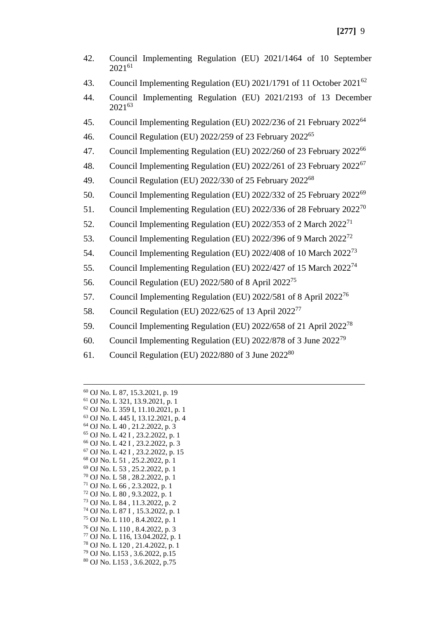- 42. Council Implementing Regulation (EU) 2021/1464 of 10 September 2021<sup>61</sup>
- 43. Council Implementing Regulation (EU) 2021/1791 of 11 October 2021<sup>62</sup>
- 44. Council Implementing Regulation (EU) 2021/2193 of 13 December 2021<sup>63</sup>
- 45. Council Implementing Regulation (EU) 2022/236 of 21 February 2022<sup>64</sup>
- 46. Council Regulation (EU) 2022/259 of 23 February 2022<sup>65</sup>
- 47. Council Implementing Regulation (EU) 2022/260 of 23 February 2022<sup>66</sup>
- 48. Council Implementing Regulation (EU) 2022/261 of 23 February 2022<sup>67</sup>
- 49. Council Regulation (EU) 2022/330 of 25 February 2022<sup>68</sup>
- 50. Council Implementing Regulation (EU) 2022/332 of 25 February 2022<sup>69</sup>
- 51. Council Implementing Regulation (EU) 2022/336 of 28 February 2022<sup>70</sup>
- 52. Council Implementing Regulation (EU) 2022/353 of 2 March 2022<sup>71</sup>
- 53. Council Implementing Regulation (EU) 2022/396 of 9 March 2022<sup>72</sup>
- 54. Council Implementing Regulation (EU) 2022/408 of 10 March 2022<sup>73</sup>
- 55. Council Implementing Regulation (EU) 2022/427 of 15 March 2022<sup>74</sup>
- 56. Council Regulation (EU) 2022/580 of 8 April 2022<sup>75</sup>
- 57. Council Implementing Regulation (EU) 2022/581 of 8 April 2022<sup>76</sup>
- 58. Council Regulation (EU) 2022/625 of 13 April 2022<sup>77</sup>
- 59. Council Implementing Regulation (EU) 2022/658 of 21 April 2022<sup>78</sup>
- 60. Council Implementing Regulation (EU) 2022/878 of 3 June 2022<sup>79</sup>
- 61. Council Regulation (EU) 2022/880 of 3 June 2022<sup>80</sup>

 OJ No. L 87, 15.3.2021, p. 19 OJ No. L 321, 13.9.2021, p. 1 OJ No. L 359 I, 11.10.2021, p. 1 OJ No. L 445 I, 13.12.2021, p. 4 OJ No. L 40 , 21.2.2022, p. 3 OJ No. L 42 I , 23.2.2022, p. 1 OJ No. L 42 I , 23.2.2022, p. 3 OJ No. L 42 I , 23.2.2022, p. 15 OJ No. L 51 , 25.2.2022, p. 1 OJ No. L 53 , 25.2.2022, p. 1 OJ No. L 58 , 28.2.2022, p. 1 OJ No. L 66 , 2.3.2022, p. 1 OJ No. L 80 , 9.3.2022, p. 1 OJ No. L 84 , 11.3.2022, p. 2 OJ No. L 87 I , 15.3.2022, p. 1 OJ No. L 110 , 8.4.2022, p. 1 OJ No. L 110 , 8.4.2022, p. 3 OJ No. L 116, 13.04.2022, p. 1 OJ No. L 120 , 21.4.2022, p. 1 OJ No. L153 , 3.6.2022, p.15 OJ No. L153 , 3.6.2022, p.75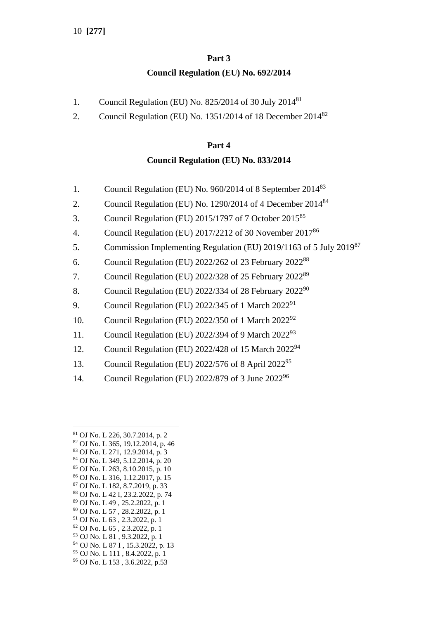# **Part 3 Council Regulation (EU) No. 692/2014**

- 1. Council Regulation (EU) No.  $825/2014$  of 30 July  $2014^{81}$
- 2. Council Regulation (EU) No. 1351/2014 of 18 December 2014<sup>82</sup>

### **Part 4**

## **Council Regulation (EU) No. 833/2014**

- 1. Council Regulation (EU) No. 960/2014 of 8 September 2014<sup>83</sup>
- 2. Council Regulation (EU) No. 1290/2014 of 4 December 2014<sup>84</sup>
- 3. Council Regulation (EU) 2015/1797 of 7 October 2015<sup>85</sup>
- 4. Council Regulation (EU) 2017/2212 of 30 November 2017<sup>86</sup>
- 5. Commission Implementing Regulation (EU) 2019/1163 of 5 July 2019<sup>87</sup>
- 6. Council Regulation (EU) 2022/262 of 23 February 2022 88
- 7. Council Regulation (EU) 2022/328 of 25 February 2022<sup>89</sup>
- 8. Council Regulation (EU) 2022/334 of 28 February 2022<sup>90</sup>
- 9. Council Regulation (EU) 2022/345 of 1 March 2022<sup>91</sup>
- 10. Council Regulation (EU) 2022/350 of 1 March 2022<sup>92</sup>
- 11. Council Regulation (EU) 2022/394 of 9 March  $2022^{93}$
- 12. Council Regulation (EU) 2022/428 of 15 March 2022<sup>94</sup>
- 13. Council Regulation (EU) 2022/576 of 8 April 2022<sup>95</sup>
- 14. Council Regulation (EU) 2022/879 of 3 June 2022<sup>96</sup>

- <sup>83</sup> OJ No. L 271, 12.9.2014, p. 3 <sup>84</sup> OJ No. L 349, 5.12.2014, p. 20
- <sup>85</sup> OJ No. L 263, 8.10.2015, p. 10
- <sup>86</sup> OJ No. L 316, 1.12.2017, p. 15
- <sup>87</sup> OJ No. L 182, 8.7.2019, p. 33
- <sup>88</sup> OJ No. L 42 I, 23.2.2022, p. 74
- <sup>89</sup> OJ No. L 49 , 25.2.2022, p. 1
- <sup>90</sup> OJ No. L 57 , 28.2.2022, p. 1
- <sup>91</sup> OJ No. L 63 , 2.3.2022, p. 1
- <sup>92</sup> OJ No. L 65 , 2.3.2022, p. 1
- <sup>93</sup> OJ No. L 81 , 9.3.2022, p. 1 <sup>94</sup> OJ No. L 87 I , 15.3.2022, p. 13
- <sup>95</sup> OJ No. L 111 , 8.4.2022, p. 1
- <sup>96</sup> OJ No. L 153 , 3.6.2022, p.53

<sup>81</sup> OJ No. L 226, 30.7.2014, p. 2

<sup>82</sup> OJ No. L 365, 19.12.2014, p. 46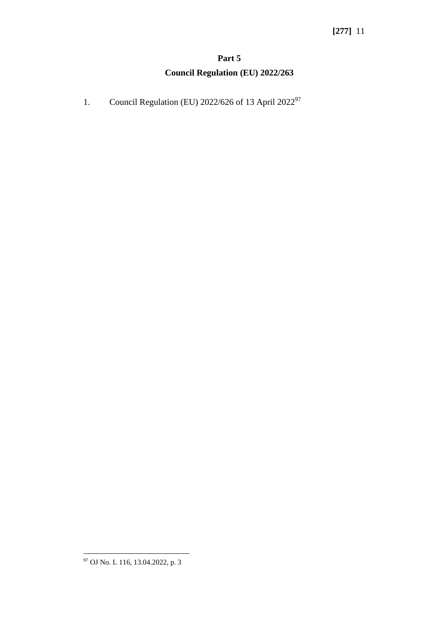# **Part 5 Council Regulation (EU) 2022/263**

1. Council Regulation (EU) 2022/626 of 13 April 2022<sup>97</sup>

<sup>97</sup> OJ No. L 116, 13.04.2022, p. 3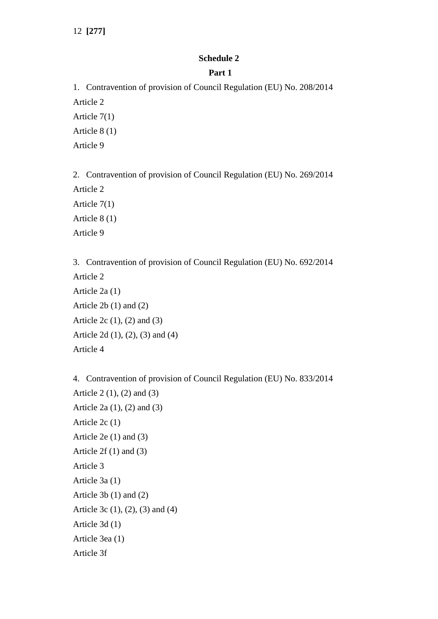#### **Schedule 2**

#### **Part 1**

1. Contravention of provision of Council Regulation (EU) No. 208/2014 Article 2 Article 7(1) Article 8 (1) Article 9

2. Contravention of provision of Council Regulation (EU) No. 269/2014 Article 2 Article 7(1) Article 8 (1) Article 9

3. Contravention of provision of Council Regulation (EU) No. 692/2014 Article 2 Article 2a (1) Article 2b (1) and (2) Article 2c (1), (2) and (3) Article 2d (1), (2), (3) and (4) Article 4

4. Contravention of provision of Council Regulation (EU) No. 833/2014 Article 2 (1), (2) and (3) Article 2a (1), (2) and (3) Article 2c (1) Article 2e (1) and (3) Article  $2f(1)$  and  $(3)$ Article 3 Article 3a (1) Article 3b (1) and (2) Article 3c (1), (2), (3) and (4) Article 3d (1) Article 3ea (1) Article 3f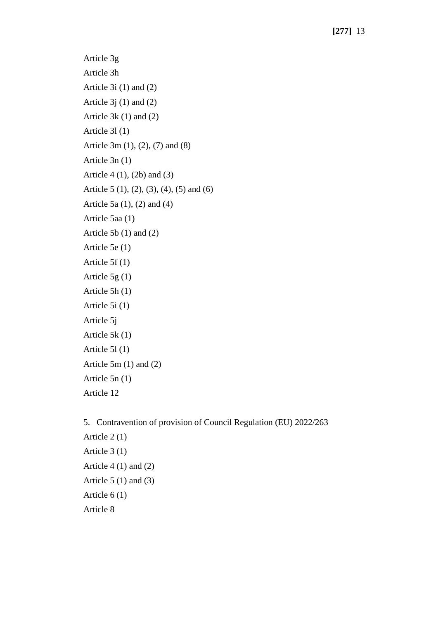Article 3g Article 3h Article 3i (1) and (2) Article 3j (1) and (2) Article 3k (1) and (2) Article 3l (1) Article 3m (1), (2), (7) and (8) Article 3n (1) Article 4 (1), (2b) and (3) Article 5 (1), (2), (3), (4), (5) and (6) Article 5a (1), (2) and (4) Article 5aa (1) Article 5b (1) and (2) Article 5e (1) Article 5f (1) Article 5g (1) Article 5h (1) Article 5i (1) Article 5j Article 5k (1) Article 5l (1) Article 5m (1) and (2) Article 5n (1) Article 12

5. Contravention of provision of Council Regulation (EU) 2022/263 Article 2 (1) Article 3 (1) Article 4 (1) and (2) Article  $5(1)$  and  $(3)$ Article 6 (1) Article 8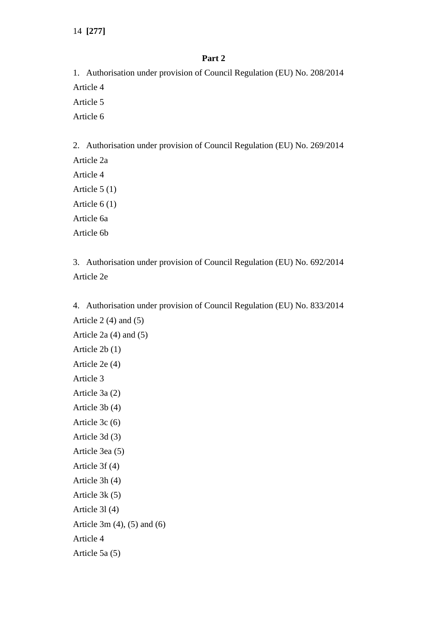#### **Part 2**

1. Authorisation under provision of Council Regulation (EU) No. 208/2014 Article 4 Article 5

Article 6

2. Authorisation under provision of Council Regulation (EU) No. 269/2014

Article 2a Article 4 Article 5 (1) Article 6 (1) Article 6a

Article 6b

3. Authorisation under provision of Council Regulation (EU) No. 692/2014 Article 2e

4. Authorisation under provision of Council Regulation (EU) No. 833/2014 Article  $2(4)$  and  $(5)$ Article 2a (4) and (5) Article 2b (1) Article 2e (4) Article 3 Article 3a (2) Article 3b (4) Article 3c (6) Article 3d (3) Article 3ea (5) Article 3f (4) Article 3h (4) Article 3k (5) Article 3l (4) Article 3m (4), (5) and (6) Article 4 Article 5a (5)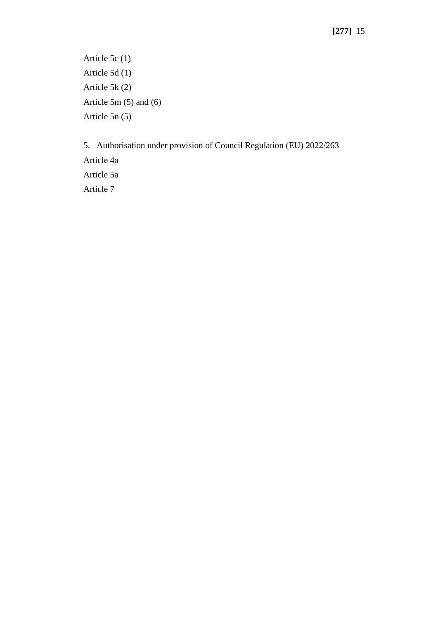Article 5c (1) Article 5d (1) Article 5k (2) Article 5m (5) and (6) Article 5n (5)

5. Authorisation under provision of Council Regulation (EU) 2022/263 Article 4a Article 5a Article 7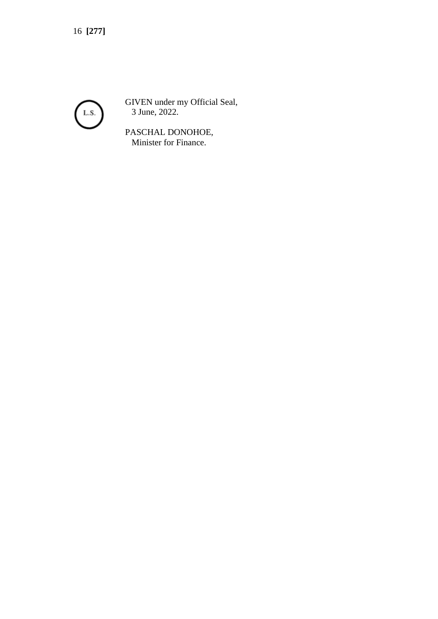

GIVEN under my Official Seal, 3 June, 2022.

PASCHAL DONOHOE, Minister for Finance.